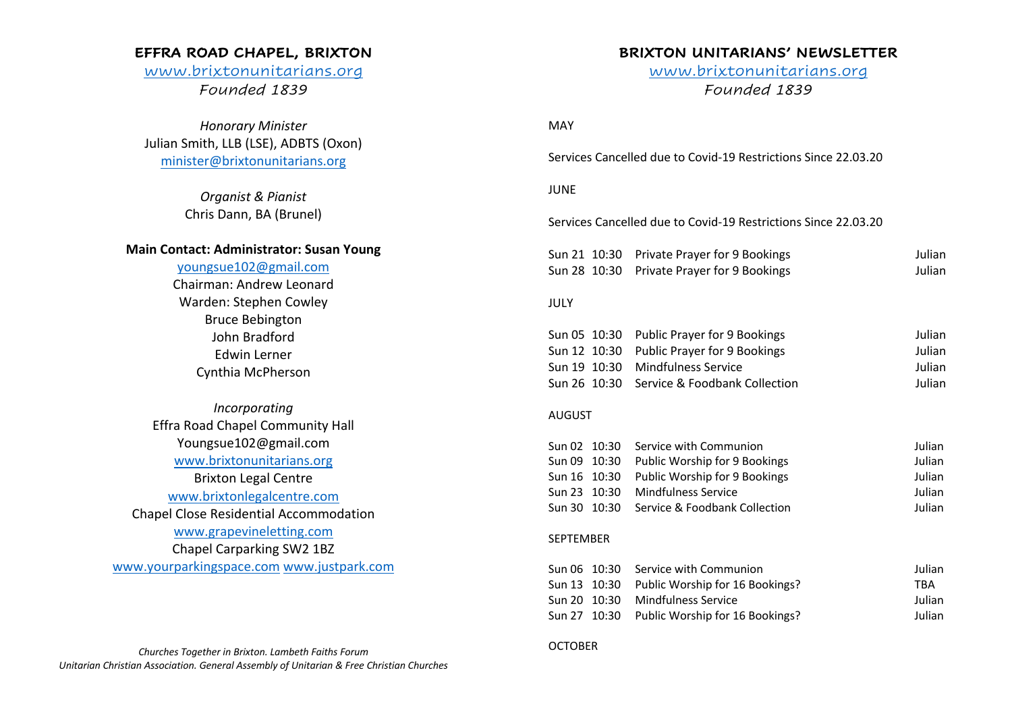## **EFFRA ROAD CHAPEL, BRIXTON**

# www.brixtonunitarians.org *Founded 1839*

*Honorary Minister* Julian Smith, LLB (LSE), ADBTS (Oxon) minister@brixtonunitarians.org

> *Organist & Pianist* Chris Dann, BA (Brunel)

## **Main Contact: Administrator: Susan Young**

### youngsue102@gmail.com

Chairman: Andrew Leonard Warden: Stephen Cowley Bruce Bebington John Bradford Edwin Lerner Cynthia McPherson

*Incorporating* Effra Road Chapel Community Hall Youngsue102@gmail.com www.brixtonunitarians.org Brixton Legal Centre www.brixtonlegalcentre.com Chapel Close Residential Accommodation www.grapevineletting.com Chapel Carparking SW2 1BZ www.yourparkingspace.com www.justpark.com

*Churches Together in Brixton. Lambeth Faiths Forum Unitarian Christian Association. General Assembly of Unitarian & Free Christian Churches*

# **BRIXTON UNITARIANS' NEWSLETTER**

www.brixtonunitarians.org *Founded 1839*

MAY

Services Cancelled due to Covid-19 Restrictions Since 22.03.20

### JUNE

Services Cancelled due to Covid-19 Restrictions Since 22.03.20

|  | Sun 21 10:30 Private Prayer for 9 Bookings | Julian |
|--|--------------------------------------------|--------|
|  | Sun 28 10:30 Private Prayer for 9 Bookings | Julian |

## JULY

| Sun 05 10:30 Public Prayer for 9 Bookings  | Julian |
|--------------------------------------------|--------|
| Sun 12 10:30 Public Prayer for 9 Bookings  | Julian |
| Sun 19 10:30 Mindfulness Service           | Julian |
| Sun 26 10:30 Service & Foodbank Collection | Julian |

### AUGUST

|  | Sun 02 10:30 Service with Communion        | Julian |
|--|--------------------------------------------|--------|
|  | Sun 09 10:30 Public Worship for 9 Bookings | Julian |
|  | Sun 16 10:30 Public Worship for 9 Bookings | Julian |
|  | Sun 23 10:30 Mindfulness Service           | Julian |
|  | Sun 30 10:30 Service & Foodbank Collection | Julian |

#### SEPTEMBER

|  | Sun 06 10:30 Service with Communion          | Julian     |
|--|----------------------------------------------|------------|
|  | Sun 13 10:30 Public Worship for 16 Bookings? | <b>TRA</b> |
|  | Sun 20 10:30 Mindfulness Service             | Julian     |
|  | Sun 27 10:30 Public Worship for 16 Bookings? | Julian     |

### **OCTOBER**